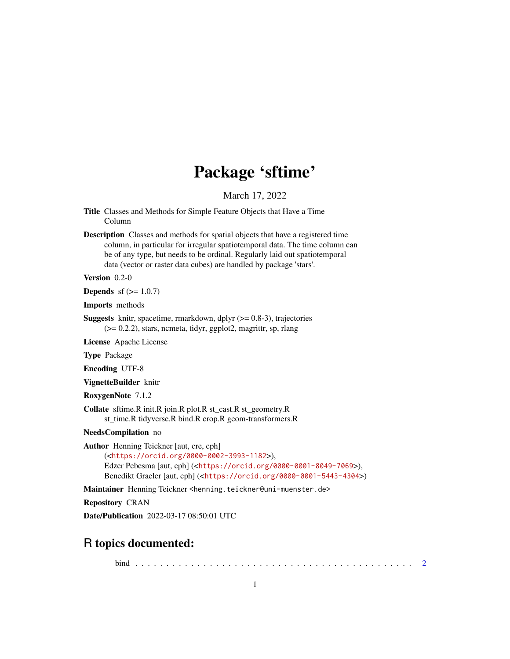# Package 'sftime'

March 17, 2022

- <span id="page-0-0"></span>Title Classes and Methods for Simple Feature Objects that Have a Time Column
- Description Classes and methods for spatial objects that have a registered time column, in particular for irregular spatiotemporal data. The time column can be of any type, but needs to be ordinal. Regularly laid out spatiotemporal data (vector or raster data cubes) are handled by package 'stars'.

Version 0.2-0

**Depends** sf  $(>= 1.0.7)$ 

Imports methods

**Suggests** knitr, spacetime, rmarkdown, dplyr  $(>= 0.8-3)$ , trajectories (>= 0.2.2), stars, ncmeta, tidyr, ggplot2, magrittr, sp, rlang

License Apache License

Type Package

Encoding UTF-8

VignetteBuilder knitr

RoxygenNote 7.1.2

Collate sftime.R init.R join.R plot.R st\_cast.R st\_geometry.R st\_time.R tidyverse.R bind.R crop.R geom-transformers.R

NeedsCompilation no

Author Henning Teickner [aut, cre, cph] (<<https://orcid.org/0000-0002-3993-1182>>), Edzer Pebesma [aut, cph] (<<https://orcid.org/0000-0001-8049-7069>>), Benedikt Graeler [aut, cph] (<<https://orcid.org/0000-0001-5443-4304>>)

Maintainer Henning Teickner <henning.teickner@uni-muenster.de>

Repository CRAN

Date/Publication 2022-03-17 08:50:01 UTC

# R topics documented:

bind . . . . . . . . . . . . . . . . . . . . . . . . . . . . . . . . . . . . . . . . . . . . . [2](#page-1-0)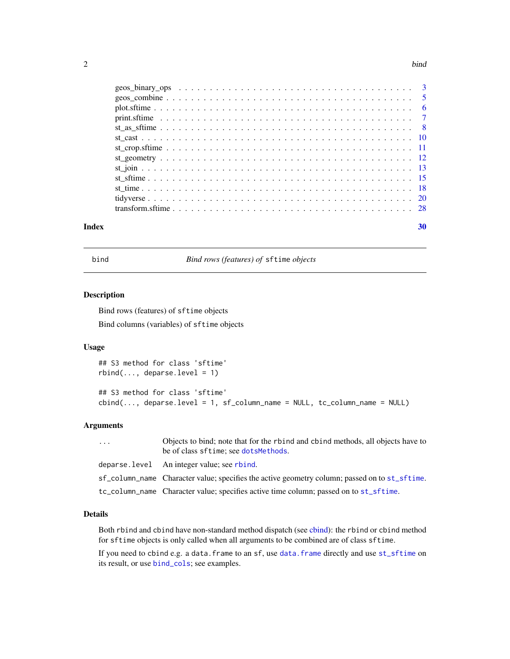#### <span id="page-1-0"></span>2 bind

| Index | 30 |
|-------|----|

bind *Bind rows (features) of* sftime *objects*

# Description

Bind rows (features) of sftime objects Bind columns (variables) of sftime objects

# Usage

## S3 method for class 'sftime'  $rbind(..., deparse.level = 1)$ 

```
## S3 method for class 'sftime'
cbind(..., <i>deparse.length = 1, sf\_column_name = NULL, tc\_column_name = NULL)</i>
```
# Arguments

| $\cdots$ | Objects to bind; note that for the rbind and cbind methods, all objects have to<br>be of class sftime; see dotsMethods. |
|----------|-------------------------------------------------------------------------------------------------------------------------|
|          | deparse. level An integer value; see rbind.                                                                             |
|          | sf_column_name Character value; specifies the active geometry column; passed on to st_sftime.                           |
|          | tc_column_name Character value; specifies active time column; passed on to st_sftime.                                   |

#### Details

Both rbind and cbind have non-standard method dispatch (see [cbind\)](#page-0-0): the rbind or cbind method for sftime objects is only called when all arguments to be combined are of class sftime.

If you need to cbind e.g. a [data.frame](#page-0-0) to an sf, use data.frame directly and use [st\\_sftime](#page-14-1) on its result, or use [bind\\_cols](#page-0-0); see examples.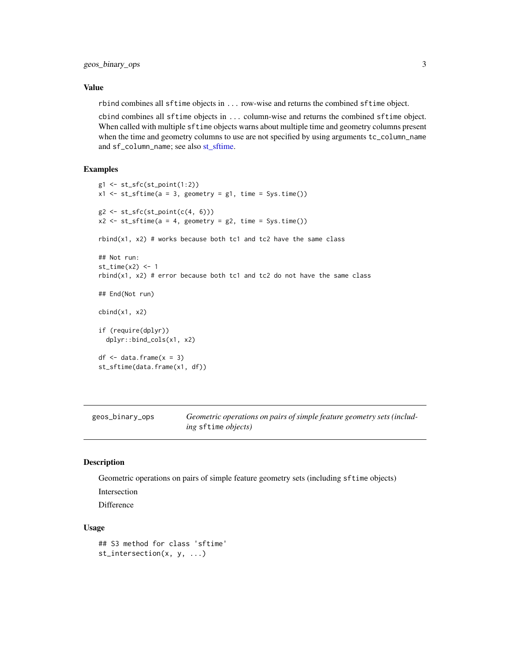#### <span id="page-2-0"></span>Value

rbind combines all sftime objects in ... row-wise and returns the combined sftime object.

cbind combines all sftime objects in ... column-wise and returns the combined sftime object. When called with multiple sftime objects warns about multiple time and geometry columns present when the time and geometry columns to use are not specified by using arguments tc\_column\_name and sf\_column\_name; see also [st\\_sftime.](#page-14-1)

#### Examples

```
g1 \leftarrow st\_sfc(st\_point(1:2))x1 \leftarrow st\_stime(a = 3, geometry = g1, time = Sys.time())g2 \leftarrow st_sfc(st_point(c(4, 6)))x2 \leq -st\_stime(a = 4, geometry = g2, time = Sys.time())rbind(x1, x2) # works because both tc1 and tc2 have the same class
## Not run:
st_time(x2) < -1rbind(x1, x2) # error because both tc1 and tc2 do not have the same class
## End(Not run)
cbind(x1, x2)if (require(dplyr))
  dplyr::bind_cols(x1, x2)
df \leq data.frame(x = 3)
st_sftime(data.frame(x1, df))
```
<span id="page-2-1"></span>geos\_binary\_ops *Geometric operations on pairs of simple feature geometry sets (including* sftime *objects)*

# Description

Geometric operations on pairs of simple feature geometry sets (including sftime objects)

Intersection

Difference

#### Usage

## S3 method for class 'sftime' st\_intersection(x, y, ...)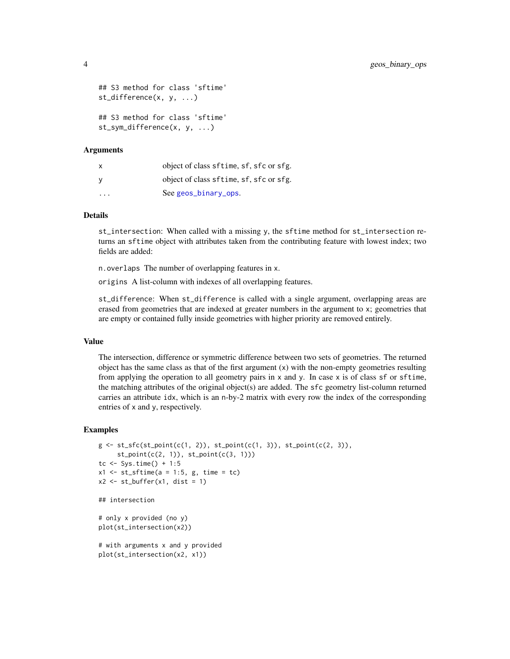```
## S3 method for class 'sftime'
st_difference(x, y, ...)
## S3 method for class 'sftime'
st_sym_difference(x, y, ...)
```
## Arguments

| $\mathsf{x}$ | object of class sftime, sf, sfc or sfg. |
|--------------|-----------------------------------------|
| - V          | object of class sftime, sf, sfc or sfg. |
| $\cdot$      | See geos_binary_ops.                    |

# Details

st\_intersection: When called with a missing y, the sftime method for st\_intersection returns an sftime object with attributes taken from the contributing feature with lowest index; two fields are added:

n.overlaps The number of overlapping features in x.

origins A list-column with indexes of all overlapping features.

st\_difference: When st\_difference is called with a single argument, overlapping areas are erased from geometries that are indexed at greater numbers in the argument to x; geometries that are empty or contained fully inside geometries with higher priority are removed entirely.

# Value

The intersection, difference or symmetric difference between two sets of geometries. The returned object has the same class as that of the first argument (x) with the non-empty geometries resulting from applying the operation to all geometry pairs in  $x$  and  $y$ . In case  $x$  is of class  $sf$  or  $stime$ , the matching attributes of the original object(s) are added. The sfc geometry list-column returned carries an attribute idx, which is an n-by-2 matrix with every row the index of the corresponding entries of x and y, respectively.

```
g \leftarrow st_sfc(st_point(c(1, 2)), st_point(c(1, 3)), st_point(c(2, 3)),st\_point(c(2, 1)), st\_point(c(3, 1)))tc \le Sys.time() + 1:5
x1 \le -st\_sftime(a = 1:5, g, time = tc)x2 \leq -st_buffer(x1, dist = 1)## intersection
# only x provided (no y)
plot(st_intersection(x2))
# with arguments x and y provided
plot(st_intersection(x2, x1))
```
<span id="page-3-0"></span>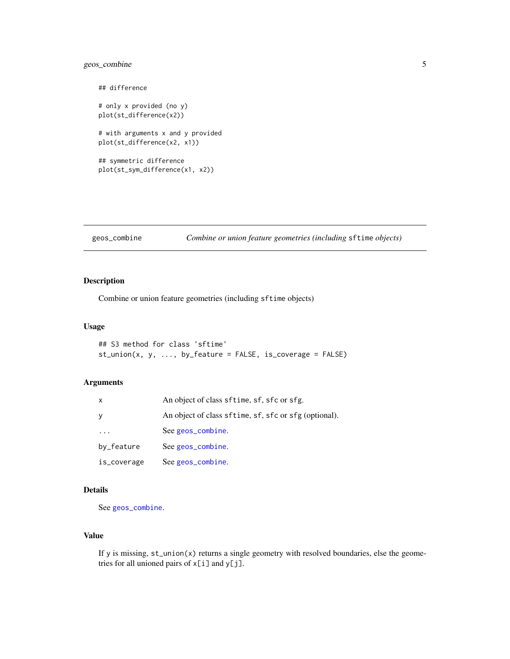# <span id="page-4-0"></span>geos\_combine 5

```
## difference
# only x provided (no y)
plot(st_difference(x2))
# with arguments x and y provided
plot(st_difference(x2, x1))
## symmetric difference
plot(st_sym_difference(x1, x2))
```
# <span id="page-4-1"></span>geos\_combine *Combine or union feature geometries (including* sftime *objects)*

#### Description

Combine or union feature geometries (including sftime objects)

#### Usage

```
## S3 method for class 'sftime'
st_union(x, y, ..., by_feature = FALSE, is_coverage = FALSE)
```
#### Arguments

| x                       | An object of class sftime, sf, sfc or sfg.            |
|-------------------------|-------------------------------------------------------|
| У                       | An object of class sftime, sf, sfc or sfg (optional). |
| $\cdot$ $\cdot$ $\cdot$ | See geos_combine.                                     |
| by_feature              | See geos_combine.                                     |
| is_coverage             | See geos_combine.                                     |

## Details

See [geos\\_combine](#page-4-1).

#### Value

If y is missing, st\_union(x) returns a single geometry with resolved boundaries, else the geometries for all unioned pairs of  $x[i]$  and  $y[j]$ .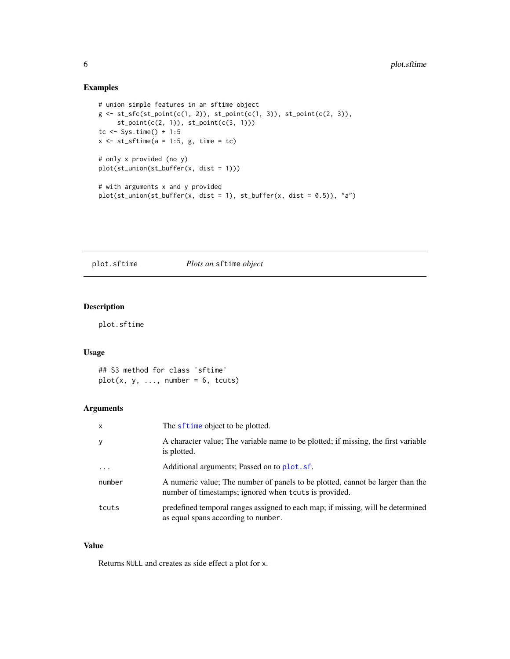# <span id="page-5-0"></span>Examples

```
# union simple features in an sftime object
g \leftarrow st\_sfc(st\_point(c(1, 2)), st\_point(c(1, 3)), st\_point(c(2, 3)),st\_point(c(2, 1)), st\_point(c(3, 1)))tc <- Sys.time() + 1:5
x \le -st\_stime(a = 1:5, g, time = tc)# only x provided (no y)
plot(st_union(st_buffer(x, dist = 1)))
# with arguments x and y provided
plot(st_union(st_buffer(x, dist = 1), st_buffer(x, dist = 0.5)), "a")
```
plot.sftime *Plots an* sftime *object*

# Description

plot.sftime

# Usage

## S3 method for class 'sftime'  $plot(x, y, ..., number = 6, tcuts)$ 

# Arguments

| $\mathsf{x}$ | The sftime object to be plotted.                                                                                                        |
|--------------|-----------------------------------------------------------------------------------------------------------------------------------------|
| y            | A character value; The variable name to be plotted; if missing, the first variable<br>is plotted.                                       |
| $\ddotsc$    | Additional arguments; Passed on to plot. sf.                                                                                            |
| number       | A numeric value; The number of panels to be plotted, cannot be larger than the<br>number of timestamps; ignored when tcuts is provided. |
| tcuts        | predefined temporal ranges assigned to each map; if missing, will be determined<br>as equal spans according to number.                  |

# Value

Returns NULL and creates as side effect a plot for x.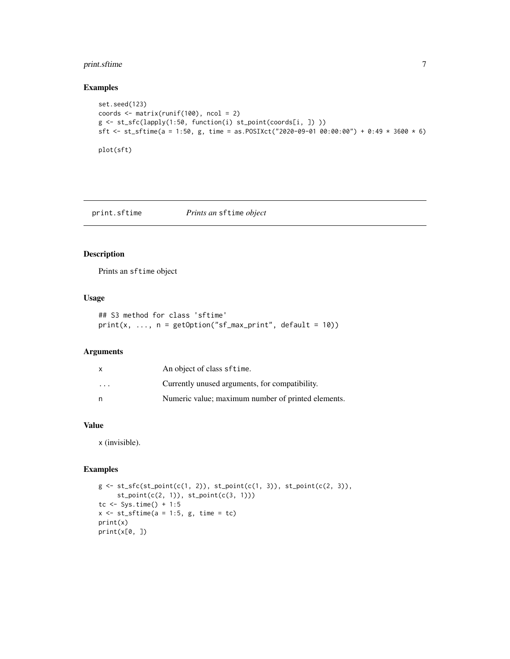# <span id="page-6-0"></span>print.sftime 7

# Examples

```
set.seed(123)
coords \leq matrix(runif(100), ncol = 2)
g <- st_sfc(lapply(1:50, function(i) st_point(coords[i, ]) ))
sft <- st_sftime(a = 1:50, g, time = as.POSIXct("2020-09-01 00:00:00") + 0:49 * 3600 * 6)
plot(sft)
```
print.sftime *Prints an* sftime *object*

# Description

Prints an sftime object

# Usage

```
## S3 method for class 'sftime'
print(x, ..., n = getOption("sf_max\_print", default = 10))
```
# Arguments

|          | An object of class sftime.                         |
|----------|----------------------------------------------------|
| $\cdots$ | Currently unused arguments, for compatibility.     |
| n        | Numeric value; maximum number of printed elements. |

# Value

x (invisible).

```
g \leftarrow st\_sfc(st\_point(c(1, 2)), st\_point(c(1, 3)), st\_point(c(2, 3)),st_point(c(2, 1)), st_point(c(3, 1)))
tc \le Sys.time() + 1:5
x \le -st\_sftime(a = 1:5, g, time = tc)print(x)
print(x[0, ])
```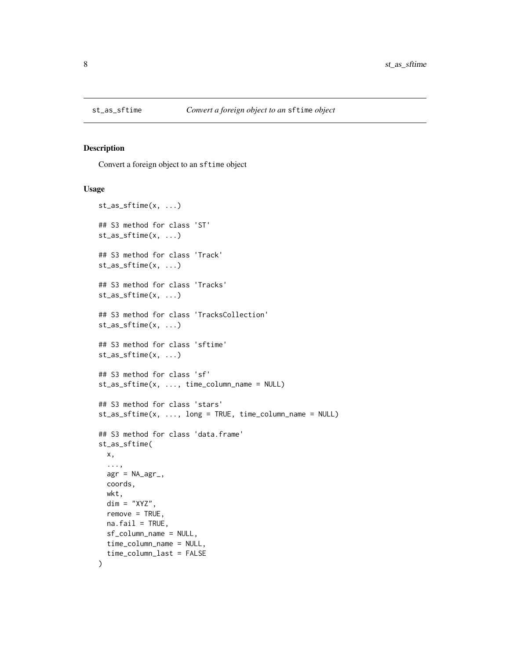<span id="page-7-0"></span>

#### Description

Convert a foreign object to an sftime object

#### Usage

```
st_as_sftime(x, ...)
## S3 method for class 'ST'
st_as_sftime(x, ...)
## S3 method for class 'Track'
st_as_sftime(x, ...)
## S3 method for class 'Tracks'
st_as_sftime(x, ...)
## S3 method for class 'TracksCollection'
st_as_sftime(x, ...)
## S3 method for class 'sftime'
st_as_sftime(x, ...)
## S3 method for class 'sf'
st_as_sftime(x, ..., time_column_name = NULL)
## S3 method for class 'stars'
st_as_sftime(x, ..., long = TRUE, time_column_name = NULL)
## S3 method for class 'data.frame'
st_as_sftime(
 x,
  ...,
 agr = NA\_{agr_coords,
 wkt,
  dim = "XYZ",remove = TRUE,
 na.fail = TRUE,sf_column_name = NULL,
  time_column_name = NULL,
  time_column_last = FALSE
)
```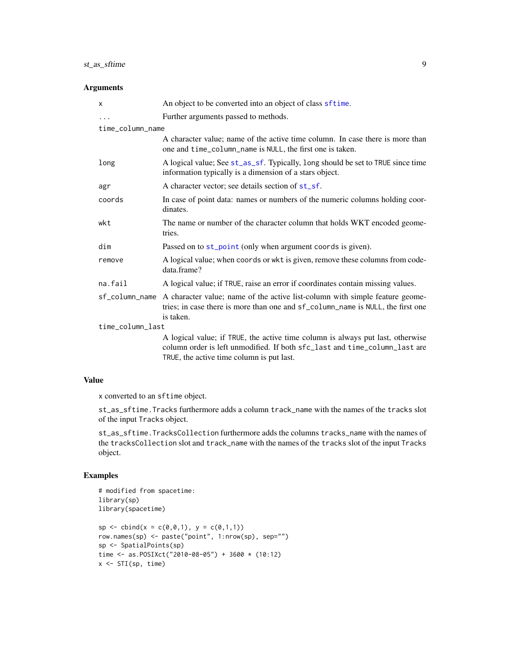# <span id="page-8-0"></span>st\_as\_sftime 9

#### Arguments

| X                | An object to be converted into an object of class sftime.                                                                                                                                                 |
|------------------|-----------------------------------------------------------------------------------------------------------------------------------------------------------------------------------------------------------|
| .                | Further arguments passed to methods.                                                                                                                                                                      |
| time_column_name |                                                                                                                                                                                                           |
|                  | A character value; name of the active time column. In case there is more than<br>one and time_column_name is NULL, the first one is taken.                                                                |
| long             | A logical value; See st_as_sf. Typically, long should be set to TRUE since time<br>information typically is a dimension of a stars object.                                                                |
| agr              | A character vector; see details section of st_sf.                                                                                                                                                         |
| coords           | In case of point data: names or numbers of the numeric columns holding coor-<br>dinates.                                                                                                                  |
| wkt              | The name or number of the character column that holds WKT encoded geome-<br>tries.                                                                                                                        |
| dim              | Passed on to st_point (only when argument coords is given).                                                                                                                                               |
| remove           | A logical value; when coords or wkt is given, remove these columns from code-<br>data.frame?                                                                                                              |
| na.fail          | A logical value; if TRUE, raise an error if coordinates contain missing values.                                                                                                                           |
| sf_column_name   | A character value; name of the active list-column with simple feature geome-<br>tries; in case there is more than one and sf_column_name is NULL, the first one<br>is taken.                              |
| time_column_last |                                                                                                                                                                                                           |
|                  | A logical value; if TRUE, the active time column is always put last, otherwise<br>column order is left unmodified. If both sfc_last and time_column_last are<br>TRUE, the active time column is put last. |

# Value

x converted to an sftime object.

st\_as\_sftime.Tracks furthermore adds a column track\_name with the names of the tracks slot of the input Tracks object.

st\_as\_sftime.TracksCollection furthermore adds the columns tracks\_name with the names of the tracksCollection slot and track\_name with the names of the tracks slot of the input Tracks object.

```
# modified from spacetime:
library(sp)
library(spacetime)
sp \leftarrow \text{cbind}(x = c(0, 0, 1), y = c(0, 1, 1))row.names(sp) <- paste("point", 1:nrow(sp), sep="")
sp <- SpatialPoints(sp)
time <- as.POSIXct("2010-08-05") + 3600 * (10:12)
x \leftarrow STI(sp, time)
```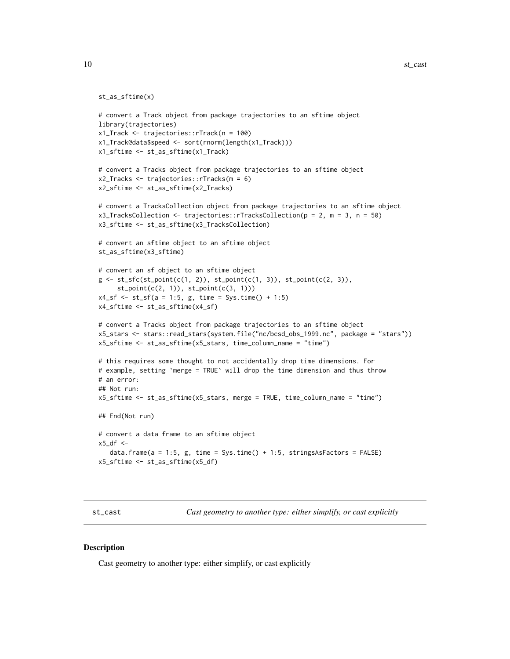```
st_as_sftime(x)
```

```
# convert a Track object from package trajectories to an sftime object
library(trajectories)
x1_Track <- trajectories::rTrack(n = 100)
x1_Track@data$speed <- sort(rnorm(length(x1_Track)))
x1_sftime <- st_as_sftime(x1_Track)
# convert a Tracks object from package trajectories to an sftime object
x2_Tracks <- trajectories::rTracks(m = 6)
x2_sftime <- st_as_sftime(x2_Tracks)
# convert a TracksCollection object from package trajectories to an sftime object
x3_TracksCollection <- trajectories::rTracksCollection(p = 2, m = 3, n = 50)
x3_sftime <- st_as_sftime(x3_TracksCollection)
# convert an sftime object to an sftime object
st_as_sftime(x3_sftime)
# convert an sf object to an sftime object
g \leftarrow st\_sfc(st\_point(c(1, 2)), st\_point(c(1, 3)), st\_point(c(2, 3)),st_point(c(2, 1)), st_point(c(3, 1)))
x4_s f \leftarrow st_s f(a = 1:5, g, time = Sys.time() + 1:5)x4_sftime <- st_as_sftime(x4_sf)
# convert a Tracks object from package trajectories to an sftime object
x5_stars <- stars::read_stars(system.file("nc/bcsd_obs_1999.nc", package = "stars"))
x5_sftime <- st_as_sftime(x5_stars, time_column_name = "time")
# this requires some thought to not accidentally drop time dimensions. For
# example, setting `merge = TRUE` will drop the time dimension and thus throw
# an error:
## Not run:
x5_sftime <- st_as_sftime(x5_stars, merge = TRUE, time_column_name = "time")
## End(Not run)
# convert a data frame to an sftime object
x5_df <-
   data.frame(a = 1:5, g, time = Sys.time() + 1:5, stringsAsFactors = FALSE)
x5_sftime <- st_as_sftime(x5_df)
```
st\_cast *Cast geometry to another type: either simplify, or cast explicitly*

#### **Description**

Cast geometry to another type: either simplify, or cast explicitly

<span id="page-9-0"></span>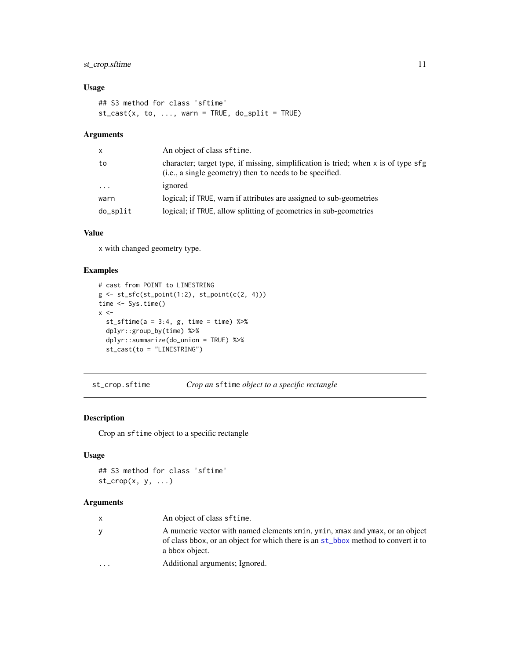# <span id="page-10-0"></span>st\_crop.sftime 11

# Usage

```
## S3 method for class 'sftime'
st\_cast(x, to, ..., warn = TRUE, do_split = TRUE)
```
# Arguments

| X        | An object of class sftime.                                                                                                                     |
|----------|------------------------------------------------------------------------------------------------------------------------------------------------|
| to       | character; target type, if missing, simplification is tried; when x is of type sfg<br>(i.e., a single geometry) then to needs to be specified. |
| $\cdot$  | ignored                                                                                                                                        |
| warn     | logical; if TRUE, warn if attributes are assigned to sub-geometries                                                                            |
| do_split | logical; if TRUE, allow splitting of geometries in sub-geometries                                                                              |

# Value

x with changed geometry type.

# Examples

```
# cast from POINT to LINESTRING
g \leftarrow st_sfc(st\_point(1:2), st\_point(c(2, 4)))time <- Sys.time()
x < -st\_sftime(a = 3:4, g, time = time) %>%
  dplyr::group_by(time) %>%
  dplyr::summarize(do_union = TRUE) %>%
  st_cast(to = "LINESTRING")
```
st\_crop.sftime *Crop an* sftime *object to a specific rectangle*

# Description

Crop an sftime object to a specific rectangle

# Usage

```
## S3 method for class 'sftime'
st\_crop(x, y, \ldots)
```
# Arguments

| $\mathsf{X}$ | An object of class sftime.                                                                                                                                                          |
|--------------|-------------------------------------------------------------------------------------------------------------------------------------------------------------------------------------|
| <b>V</b>     | A numeric vector with named elements xmin, ymin, xmax and ymax, or an object<br>of class boox, or an object for which there is an st_bbox method to convert it to<br>a bbox object. |
| $\ddotsc$    | Additional arguments; Ignored.                                                                                                                                                      |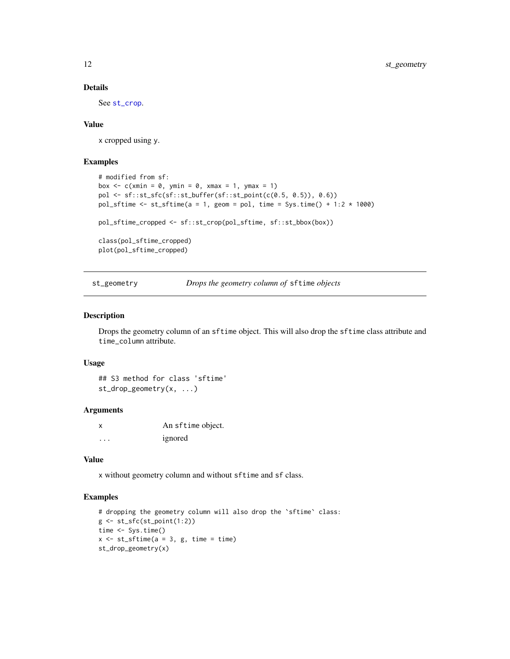#### Details

See [st\\_crop](#page-0-0).

#### Value

x cropped using y.

#### Examples

```
# modified from sf:
box \leq c(xmin = 0, ymin = 0, xmax = 1, ymax = 1)
pol <- sf::st_sfc(sf::st_buffer(sf::st_point(c(0.5, 0.5)), 0.6))
pol_sftime \le st_sftime(a = 1, geom = pol, time = Sys.time() + 1:2 \star 1000)
pol_sftime_cropped <- sf::st_crop(pol_sftime, sf::st_bbox(box))
class(pol_sftime_cropped)
plot(pol_sftime_cropped)
```
st\_geometry *Drops the geometry column of* sftime *objects*

#### Description

Drops the geometry column of an sftime object. This will also drop the sftime class attribute and time\_column attribute.

#### Usage

## S3 method for class 'sftime' st\_drop\_geometry(x, ...)

#### **Arguments**

x An sftime object. ... ignored

# Value

x without geometry column and without sftime and sf class.

```
# dropping the geometry column will also drop the `sftime` class:
g \leftarrow st_sfc(st_point(1:2))time <- Sys.time()
x \le -st\_stime(a = 3, g, time = time)st_drop_geometry(x)
```
<span id="page-11-0"></span>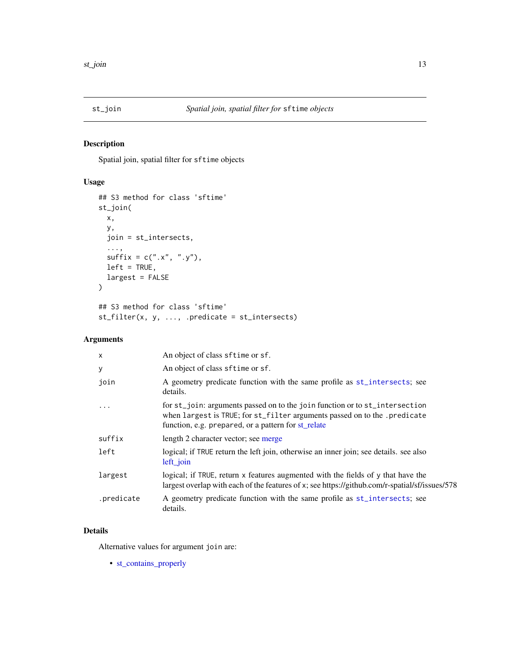<span id="page-12-0"></span>

# Description

Spatial join, spatial filter for sftime objects

# Usage

```
## S3 method for class 'sftime'
st_join(
 x,
 y,
 join = st_intersects,
  ...,
 sufficient = c("x", "y"),left = TRUE,largest = FALSE
)
## S3 method for class 'sftime'
st_filter(x, y, ..., .predicate = st_intersects)
```
# Arguments

| $\times$   | An object of class sftime or sf.                                                                                                                                                                                 |
|------------|------------------------------------------------------------------------------------------------------------------------------------------------------------------------------------------------------------------|
| y          | An object of class sftime or sf.                                                                                                                                                                                 |
| join       | A geometry predicate function with the same profile as st_intersects; see<br>details.                                                                                                                            |
| $\cdot$    | for st_join: arguments passed on to the join function or to st_intersection<br>when largest is TRUE; for st_filter arguments passed on to the . predicate<br>function, e.g. prepared, or a pattern for st_relate |
| suffix     | length 2 character vector; see merge                                                                                                                                                                             |
| left       | logical; if TRUE return the left join, otherwise an inner join; see details. see also<br>$left\_join$                                                                                                            |
| largest    | logical; if TRUE, return x features augmented with the fields of y that have the<br>largest overlap with each of the features of x; see https://github.com/r-spatial/sf/issues/578                               |
| .predicate | A geometry predicate function with the same profile as st_intersects; see<br>details.                                                                                                                            |

# Details

Alternative values for argument join are:

• [st\\_contains\\_properly](#page-0-0)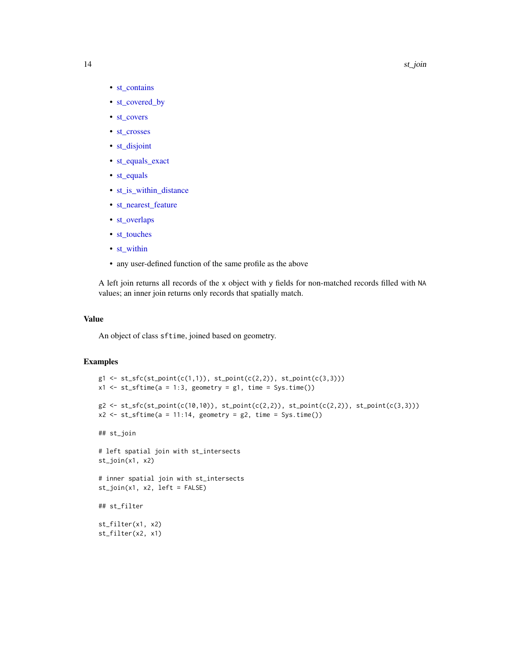#### 14 st\_join

- [st\\_contains](#page-0-0)
- [st\\_covered\\_by](#page-0-0)
- [st\\_covers](#page-0-0)
- [st\\_crosses](#page-0-0)
- [st\\_disjoint](#page-0-0)
- [st\\_equals\\_exact](#page-0-0)
- [st\\_equals](#page-0-0)
- [st\\_is\\_within\\_distance](#page-0-0)
- [st\\_nearest\\_feature](#page-0-0)
- [st\\_overlaps](#page-0-0)
- [st\\_touches](#page-0-0)
- [st\\_within](#page-0-0)
- any user-defined function of the same profile as the above

A left join returns all records of the x object with y fields for non-matched records filled with NA values; an inner join returns only records that spatially match.

### Value

An object of class sftime, joined based on geometry.

```
g1 \leftarrow st\_sfc(st\_point(c(1,1)), st\_point(c(2,2)), st\_point(c(3,3)))x1 \leq -st\_stime(a = 1:3, geometry = g1, time = Sys.time())g2 \leftarrow st\_sfc(st\_point(c(10,10)), st\_point(c(2,2)), st\_point(c(2,2)), st\_point(c(3,3)))x2 \leq -st\_stime(a = 11:14, geometry = g2, time = Sys.time())## st_join
# left spatial join with st_intersects
st_join(x1, x2)
# inner spatial join with st_intersects
st\_join(x1, x2, left = FALSE)## st_filter
st_filter(x1, x2)
st_filter(x2, x1)
```
<span id="page-13-0"></span>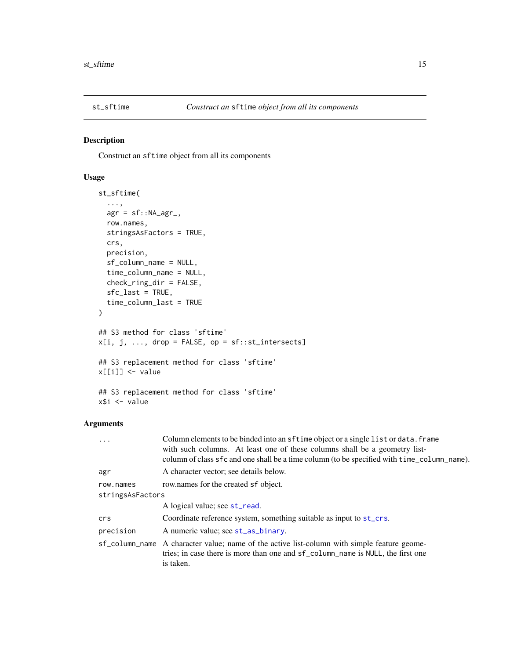<span id="page-14-1"></span><span id="page-14-0"></span>

#### Description

Construct an sftime object from all its components

# Usage

```
st_sftime(
  ...,
 agr = sf::NA\_\text{agr},row.names,
  stringsAsFactors = TRUE,
 crs,
 precision,
  sf_column_name = NULL,
  time_column_name = NULL,
  check_ring_dir = FALSE,
  sfc_last = TRUE,
  time_column_last = TRUE
)
## S3 method for class 'sftime'
x[i, j, ..., drop = FALSE, op = sf::st_intersects]## S3 replacement method for class 'sftime'
x[[i]] <- value
## S3 replacement method for class 'sftime'
x$i <- value
```
# Arguments

| Column elements to be binded into an sftime object or a single list or data. frame<br>with such columns. At least one of these columns shall be a geometry list-<br>column of class sfc and one shall be a time column (to be specified with time_column_name). |
|-----------------------------------------------------------------------------------------------------------------------------------------------------------------------------------------------------------------------------------------------------------------|
| A character vector; see details below.                                                                                                                                                                                                                          |
| row names for the created sf object.                                                                                                                                                                                                                            |
| stringsAsFactors                                                                                                                                                                                                                                                |
| A logical value; see st_read.                                                                                                                                                                                                                                   |
| Coordinate reference system, something suitable as input to st_crs.                                                                                                                                                                                             |
| A numeric value; see st_as_binary.                                                                                                                                                                                                                              |
| sf_column_name A character value; name of the active list-column with simple feature geome-<br>tries; in case there is more than one and sf_column_name is NULL, the first one<br>is taken.                                                                     |
|                                                                                                                                                                                                                                                                 |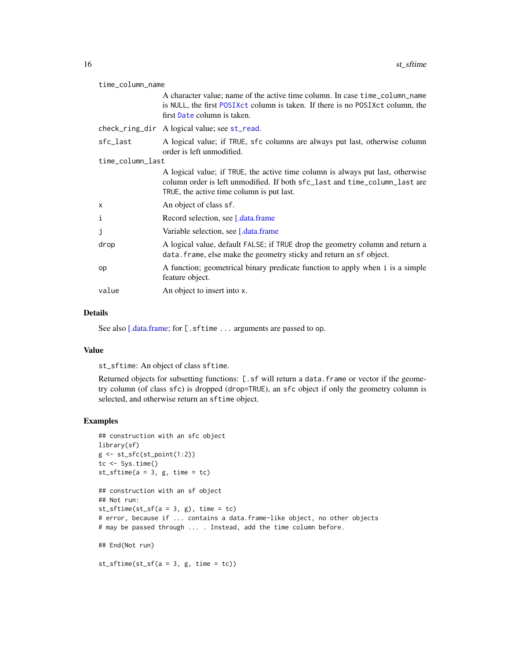<span id="page-15-0"></span>

| time_column_name |                                                                                                                                                                                                           |  |
|------------------|-----------------------------------------------------------------------------------------------------------------------------------------------------------------------------------------------------------|--|
|                  | A character value; name of the active time column. In case time_column_name<br>is NULL, the first POSIXct column is taken. If there is no POSIXct column, the<br>first Date column is taken.              |  |
|                  | check_ring_dir A logical value; see st_read.                                                                                                                                                              |  |
| sfc_last         | A logical value; if TRUE, sfc columns are always put last, otherwise column<br>order is left unmodified.                                                                                                  |  |
| time_column_last |                                                                                                                                                                                                           |  |
|                  | A logical value; if TRUE, the active time column is always put last, otherwise<br>column order is left unmodified. If both sfc_last and time_column_last are<br>TRUE, the active time column is put last. |  |
| X                | An object of class sf.                                                                                                                                                                                    |  |
| i                | Record selection, see [.data.frame]                                                                                                                                                                       |  |
| j                | Variable selection, see [.data.frame]                                                                                                                                                                     |  |
| drop             | A logical value, default FALSE; if TRUE drop the geometry column and return a<br>data. frame, else make the geometry sticky and return an sf object.                                                      |  |
| op               | A function; geometrical binary predicate function to apply when i is a simple<br>feature object.                                                                                                          |  |
| value            | An object to insert into x.                                                                                                                                                                               |  |

#### Details

See also [\[.data.frame;](#page-0-0) for [.sftime ... arguments are passed to op.

#### Value

st\_sftime: An object of class sftime.

Returned objects for subsetting functions: [.sf will return a data.frame or vector if the geometry column (of class sfc) is dropped (drop=TRUE), an sfc object if only the geometry column is selected, and otherwise return an sftime object.

```
## construction with an sfc object
library(sf)
g \leftarrow st_sfc(st_point(1:2))tc \leftarrow Sys.time()st\_sframe(a = 3, g, time = tc)## construction with an sf object
## Not run:
st_sftime(st_sf(a = 3, g), time = tc)
# error, because if ... contains a data.frame-like object, no other objects
# may be passed through ... . Instead, add the time column before.
## End(Not run)
st\_sframe(st\_sf(a = 3, g, time = tc))
```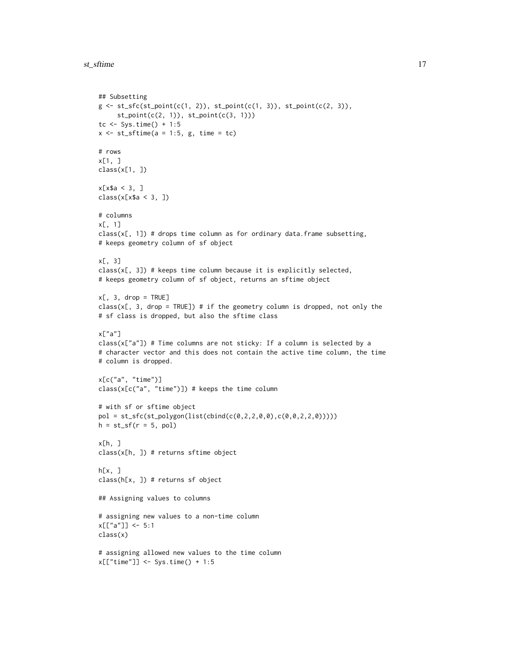```
st_sftime 17
```

```
## Subsetting
g \leftarrow st\_sfc(st\_point(c(1, 2)), st\_point(c(1, 3)), st\_point(c(2, 3)),st\_point(c(2, 1)), st\_point(c(3, 1)))tc \le Sys.time() + 1:5
x \le -st\_sftime(a = 1:5, g, time = tc)# rows
x[1, ]
class(x[1, ])
x[x$a < 3, ]class(x[x$a < 3, ])
# columns
x[, 1]
class(x[, 1]) # drops time column as for ordinary data.frame subsetting,
# keeps geometry column of sf object
x[, 3]
class(x[, 3]) # keeps time column because it is explicitly selected,
# keeps geometry column of sf object, returns an sftime object
x[, 3, drop = TRUE]
class(x[, 3, drop = TRUE]) # if the geometry column is dropped, not only the
# sf class is dropped, but also the sftime class
x["a"]
class(x["a"]) # Time columns are not sticky: If a column is selected by a
# character vector and this does not contain the active time column, the time
# column is dropped.
x[c("a", "time")]
class(x[c("a", "time")]) # keeps the time column
# with sf or sftime object
pol = st_sfc(st_polygon(list(cbind(c(0,2,2,0,0),c(0,0,2,2,0)))))
h = st_s(f(r = 5, pol))x[h, ]
class(x[h, ]) # returns sftime object
h[x, ]
class(h[x, ]) # returns sf object
## Assigning values to columns
# assigning new values to a non-time column
x[["a"]] <- 5:1
class(x)
# assigning allowed new values to the time column
x[["time"]] <- Sys.time() + 1:5
```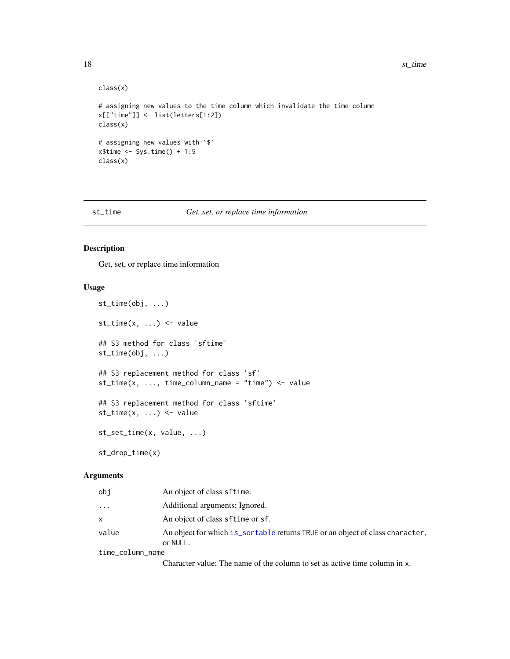```
class(x)
# assigning new values to the time column which invalidate the time column
x[["time"]] <- list(letters[1:2])
class(x)
# assigning new values with `$`
x$time <- Sys.time() + 1:5
class(x)
```
#### st\_time *Get, set, or replace time information*

#### Description

Get, set, or replace time information

#### Usage

```
st_time(obj, ...)
st_time(x, ...) \leftarrow value## S3 method for class 'sftime'
st_time(obj, ...)
## S3 replacement method for class 'sf'
st_time(x, ..., time_columns_name = "time") < - value## S3 replacement method for class 'sftime'
st_time(x, ...) \leftarrow valuest_set_time(x, value, ...)
st_drop_time(x)
```
#### Arguments

| obi              | An object of class sftime.                                                                |
|------------------|-------------------------------------------------------------------------------------------|
| .                | Additional arguments; Ignored.                                                            |
| x                | An object of class sftime or sf.                                                          |
| value            | An object for which is_sortable returns TRUE or an object of class character,<br>or NULL. |
| time_column_name |                                                                                           |

Character value; The name of the column to set as active time column in x.

<span id="page-17-0"></span>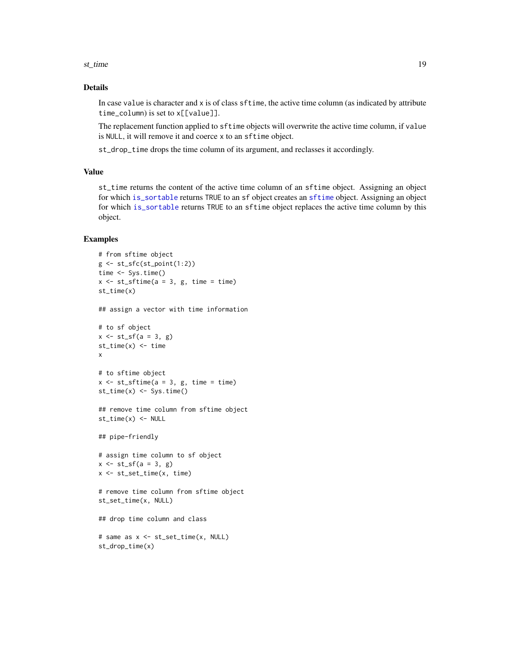#### <span id="page-18-0"></span>st\_time 19

# Details

In case value is character and x is of class sftime, the active time column (as indicated by attribute time\_column) is set to x[[value]].

The replacement function applied to sftime objects will overwrite the active time column, if value is NULL, it will remove it and coerce x to an sftime object.

st\_drop\_time drops the time column of its argument, and reclasses it accordingly.

#### Value

st\_time returns the content of the active time column of an sftime object. Assigning an object for which [is\\_sortable](#page-0-0) returns TRUE to an sf object creates an [sftime](#page-14-1) object. Assigning an object for which [is\\_sortable](#page-0-0) returns TRUE to an sftime object replaces the active time column by this object.

```
# from sftime object
g \leftarrow st_sfc(st_point(1:2))time <- Sys.time()
x \le -st\_sftime(a = 3, g, time = time)st_time(x)
## assign a vector with time information
# to sf object
x \le -st_{s}f(a = 3, g)st_time(x) < -timex
# to sftime object
x \le -st\_stime(a = 3, g, time = time)st_time(x) <- Sys.time()
## remove time column from sftime object
st_time(x) < - NULL## pipe-friendly
# assign time column to sf object
x \leftarrow st_s(f(a = 3, g))x <- st_set_time(x, time)
# remove time column from sftime object
st_set_time(x, NULL)
## drop time column and class
# same as x <- st_set_time(x, NULL)
st_drop_time(x)
```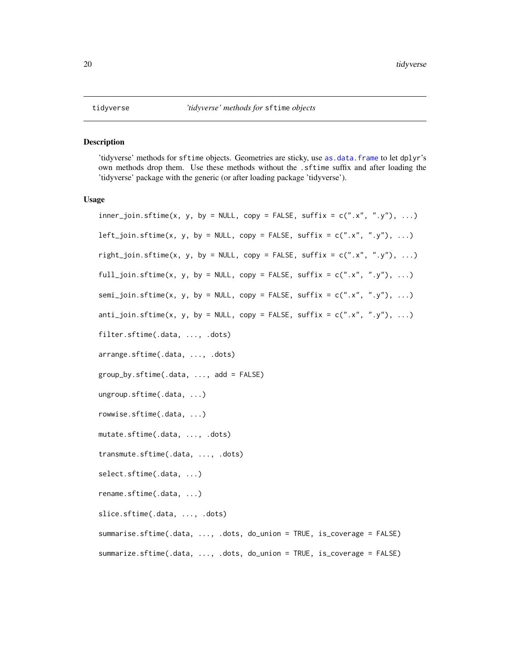#### <span id="page-19-0"></span>Description

'tidyverse' methods for sftime objects. Geometries are sticky, use [as.data.frame](#page-0-0) to let dplyr's own methods drop them. Use these methods without the .sftime suffix and after loading the 'tidyverse' package with the generic (or after loading package 'tidyverse').

#### Usage

```
inner\_join.sfitime(x, y, by = NULL, copy = FALSE, suffix = c("x", "y"), ...)left\_join.sftime(x, y, by = NULL, copy = FALSE, suffix = c("x", "y"), ...)right_join.sftime(x, y, by = NULL, copy = FALSE, suffix = c("x", "y"), ...)
full_join.sftime(x, y, by = NULL, copy = FALSE, suffix = c("x", "y"), ...)
semi_join.sftime(x, y, by = NULL, copy = FALSE, suffix = c("x", "y"), ...)
anti\_join.sftime(x, y, by = NULL, copy = FALSE, suffix = c("x", "y"), ...)filter.sftime(.data, ..., .dots)
arrange.sftime(.data, ..., .dots)
group_by.sftime(.data, ..., add = FALSE)
ungroup.sftime(.data, ...)
rowwise.sftime(.data, ...)
mutate.sftime(.data, ..., .dots)
transmute.sftime(.data, ..., .dots)
select.sftime(.data, ...)
rename.sftime(.data, ...)
slice.sftime(.data, ..., .dots)
summarise.sftime(.data, ..., .dots, do_union = TRUE, is_coverage = FALSE)
summarize.sftime(.data, ..., .dots, do_union = TRUE, is_coverage = FALSE)
```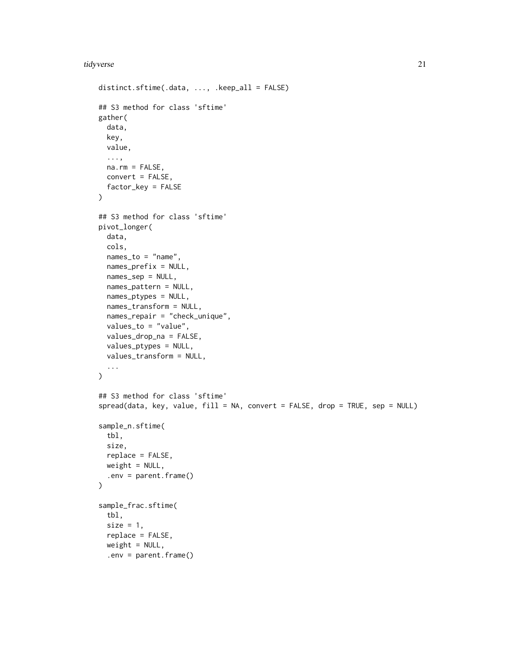```
distinct.sftime(.data, ..., .keep_all = FALSE)
## S3 method for class 'sftime'
gather(
 data,
 key,
 value,
  ...,
 na.rm = FALSE,convert = FALSE,
  factor_key = FALSE
)
## S3 method for class 'sftime'
pivot_longer(
 data,
  cols,
 names_to = "name",
 names_prefix = NULL,
  names_sep = NULL,
 names_pattern = NULL,
 names_ptypes = NULL,
 names_transform = NULL,
  names_repair = "check_unique",
 values_to = "value",
 values_drop_na = FALSE,
  values_ptypes = NULL,
  values_transform = NULL,
  ...
\mathcal{L}## S3 method for class 'sftime'
spread(data, key, value, fill = NA, convert = FALSE, drop = TRUE, sep = NULL)
sample_n.sftime(
  tbl,
  size,
 replace = FALSE,
 weight = NULL,.env = parent.frame()
\mathcal{L}sample_frac.sftime(
  tbl,
  size = 1,
  replace = FALSE,
 weight = NULL,.env = parent.frame()
```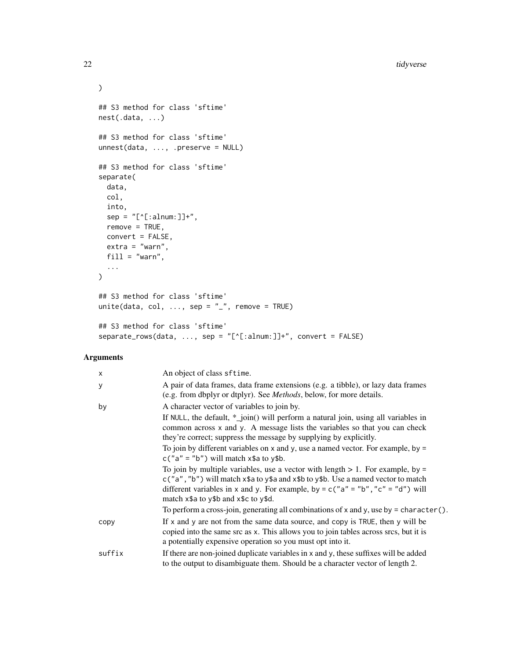```
\mathcal{L}## S3 method for class 'sftime'
nest(.data, ...)
## S3 method for class 'sftime'
unnest(data, ..., .preserve = NULL)
## S3 method for class 'sftime'
separate(
  data,
  col,
  into,
  sep = "['[:alnum:]]+",remove = TRUE,convert = FALSE,
  extra = "warn",
  fill = "warn",...
\mathcal{L}## S3 method for class 'sftime'
unite(data, col, \dots, sep = "_", remove = TRUE)
## S3 method for class 'sftime'
separate_rows(data, ..., sep = "[^[:alnum:]]+", convert = FALSE)
```
# Arguments

| $\mathsf{x}$ | An object of class sftime.                                                                                                                                                                                                                                                                                                                                                                                                                                                                                                                                                                                                                                                                                                                                                                                                                      |
|--------------|-------------------------------------------------------------------------------------------------------------------------------------------------------------------------------------------------------------------------------------------------------------------------------------------------------------------------------------------------------------------------------------------------------------------------------------------------------------------------------------------------------------------------------------------------------------------------------------------------------------------------------------------------------------------------------------------------------------------------------------------------------------------------------------------------------------------------------------------------|
| У            | A pair of data frames, data frame extensions (e.g. a tibble), or lazy data frames<br>(e.g. from dbplyr or dtplyr). See <i>Methods</i> , below, for more details.                                                                                                                                                                                                                                                                                                                                                                                                                                                                                                                                                                                                                                                                                |
| by           | A character vector of variables to join by.<br>If NULL, the default, $*$ _join() will perform a natural join, using all variables in<br>common across x and y. A message lists the variables so that you can check<br>they're correct; suppress the message by supplying by explicitly.<br>To join by different variables on $x$ and $y$ , use a named vector. For example, by =<br>$c("a" = "b")$ will match $x$ \$a to $y$ \$b.<br>To join by multiple variables, use a vector with length $> 1$ . For example, by =<br>$c("a", "b")$ will match $x$ \$a to $y$ \$a and $x$ \$b to $y$ \$b. Use a named vector to match<br>different variables in x and y. For example, by = $c("a" = "b", "c" = "d")$ will<br>match x\$a to y\$b and x\$c to y\$d.<br>To perform a cross-join, generating all combinations of x and y, use by = character(). |
| copy         | If x and y are not from the same data source, and copy is TRUE, then y will be<br>copied into the same src as x. This allows you to join tables across srcs, but it is<br>a potentially expensive operation so you must opt into it.                                                                                                                                                                                                                                                                                                                                                                                                                                                                                                                                                                                                            |
| suffix       | If there are non-joined duplicate variables in x and y, these suffixes will be added<br>to the output to disambiguate them. Should be a character vector of length 2.                                                                                                                                                                                                                                                                                                                                                                                                                                                                                                                                                                                                                                                                           |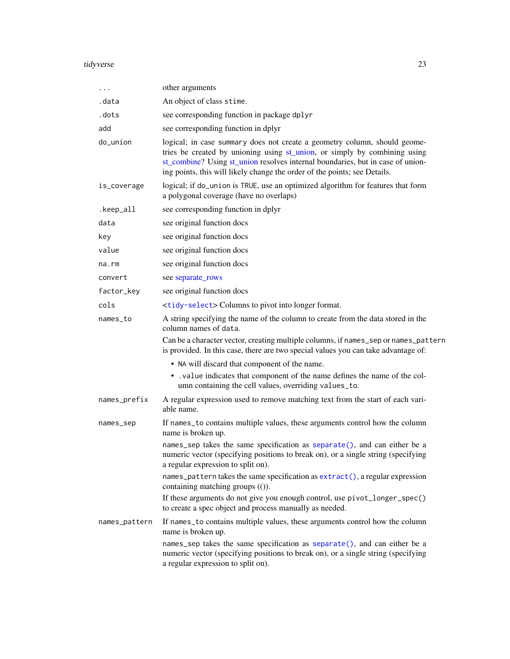<span id="page-22-0"></span>

| .             | other arguments                                                                                                                                                                                                                                                                                                       |
|---------------|-----------------------------------------------------------------------------------------------------------------------------------------------------------------------------------------------------------------------------------------------------------------------------------------------------------------------|
| .data         | An object of class stime.                                                                                                                                                                                                                                                                                             |
| .dots         | see corresponding function in package dplyr                                                                                                                                                                                                                                                                           |
| add           | see corresponding function in dplyr                                                                                                                                                                                                                                                                                   |
| do_union      | logical; in case summary does not create a geometry column, should geome-<br>tries be created by unioning using st_union, or simply by combining using<br>st_combine? Using st_union resolves internal boundaries, but in case of union-<br>ing points, this will likely change the order of the points; see Details. |
| is_coverage   | logical; if do_union is TRUE, use an optimized algorithm for features that form<br>a polygonal coverage (have no overlaps)                                                                                                                                                                                            |
| .keep_all     | see corresponding function in dplyr                                                                                                                                                                                                                                                                                   |
| data          | see original function docs                                                                                                                                                                                                                                                                                            |
| key           | see original function docs                                                                                                                                                                                                                                                                                            |
| value         | see original function docs                                                                                                                                                                                                                                                                                            |
| na.rm         | see original function docs                                                                                                                                                                                                                                                                                            |
| convert       | see separate_rows                                                                                                                                                                                                                                                                                                     |
| factor_key    | see original function docs                                                                                                                                                                                                                                                                                            |
| cols          | <tidy-select> Columns to pivot into longer format.</tidy-select>                                                                                                                                                                                                                                                      |
| names_to      | A string specifying the name of the column to create from the data stored in the<br>column names of data.                                                                                                                                                                                                             |
|               | Can be a character vector, creating multiple columns, if names_sep or names_pattern<br>is provided. In this case, there are two special values you can take advantage of:                                                                                                                                             |
|               | • NA will discard that component of the name.                                                                                                                                                                                                                                                                         |
|               | • . value indicates that component of the name defines the name of the col-<br>umn containing the cell values, overriding values_to.                                                                                                                                                                                  |
| names_prefix  | A regular expression used to remove matching text from the start of each vari-<br>able name.                                                                                                                                                                                                                          |
| names_sep     | If names_to contains multiple values, these arguments control how the column<br>name is broken up.                                                                                                                                                                                                                    |
|               | names_sep takes the same specification as separate(), and can either be a<br>numeric vector (specifying positions to break on), or a single string (specifying<br>a regular expression to split on).                                                                                                                  |
|               | names_pattern takes the same specification as extract(), a regular expression<br>containing matching groups (()).                                                                                                                                                                                                     |
|               | If these arguments do not give you enough control, use pivot_longer_spec()<br>to create a spec object and process manually as needed.                                                                                                                                                                                 |
| names_pattern | If names_to contains multiple values, these arguments control how the column<br>name is broken up.                                                                                                                                                                                                                    |
|               | names_sep takes the same specification as separate(), and can either be a<br>numeric vector (specifying positions to break on), or a single string (specifying<br>a regular expression to split on).                                                                                                                  |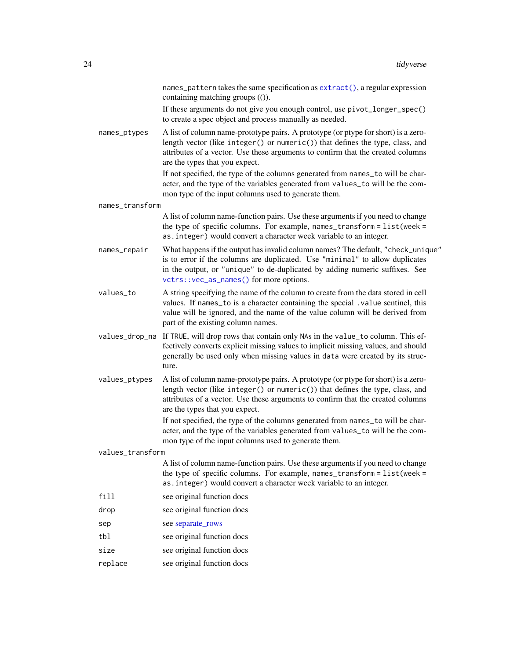names\_pattern takes the same specification as [extract\(\)](#page-0-0), a regular expression containing matching groups (()).

If these arguments do not give you enough control, use pivot\_longer\_spec() to create a spec object and process manually as needed.

<span id="page-23-0"></span>names\_ptypes A list of column name-prototype pairs. A prototype (or ptype for short) is a zerolength vector (like integer() or numeric()) that defines the type, class, and attributes of a vector. Use these arguments to confirm that the created columns are the types that you expect.

> If not specified, the type of the columns generated from names\_to will be character, and the type of the variables generated from values\_to will be the common type of the input columns used to generate them.

names\_transform

A list of column name-function pairs. Use these arguments if you need to change the type of specific columns. For example, names\_transform = list(week = as.integer) would convert a character week variable to an integer.

- names\_repair What happens if the output has invalid column names? The default, "check\_unique" is to error if the columns are duplicated. Use "minimal" to allow duplicates in the output, or "unique" to de-duplicated by adding numeric suffixes. See [vctrs::vec\\_as\\_names\(\)](#page-0-0) for more options.
- values\_to A string specifying the name of the column to create from the data stored in cell values. If names\_to is a character containing the special .value sentinel, this value will be ignored, and the name of the value column will be derived from part of the existing column names.
- values\_drop\_na If TRUE, will drop rows that contain only NAs in the value\_to column. This effectively converts explicit missing values to implicit missing values, and should generally be used only when missing values in data were created by its structure.
- values\_ptypes A list of column name-prototype pairs. A prototype (or ptype for short) is a zerolength vector (like integer() or numeric()) that defines the type, class, and attributes of a vector. Use these arguments to confirm that the created columns are the types that you expect.

If not specified, the type of the columns generated from names\_to will be character, and the type of the variables generated from values\_to will be the common type of the input columns used to generate them.

values\_transform

A list of column name-function pairs. Use these arguments if you need to change the type of specific columns. For example, names\_transform = list(week = as.integer) would convert a character week variable to an integer.

- fill see original function docs
- drop see original function docs
- sep see [separate\\_rows](#page-0-0)
- tbl see original function docs
- size see original function docs
- replace see original function docs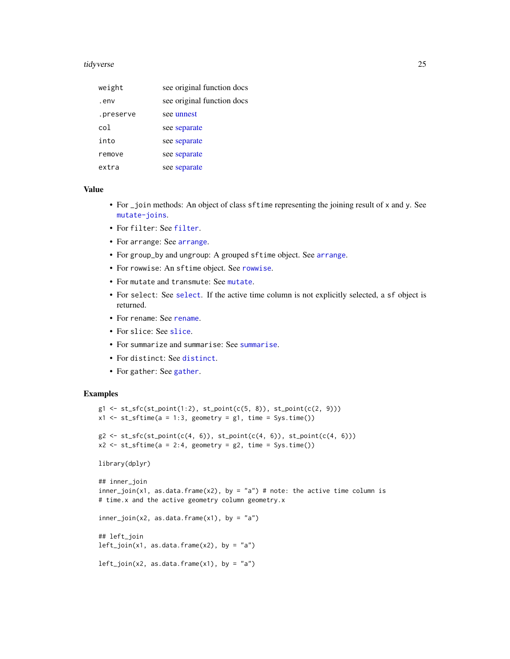<span id="page-24-0"></span>

| weight    | see original function docs |
|-----------|----------------------------|
| .env      | see original function docs |
| .preserve | see unnest                 |
| col       | see separate               |
| into      | see separate               |
| remove    | see separate               |
| extra     | see separate               |

### Value

- For \_join methods: An object of class sftime representing the joining result of x and y. See [mutate-joins](#page-0-0).
- For filter: See [filter](#page-0-0).
- For arrange: See [arrange](#page-0-0).
- For group\_by and ungroup: A grouped sftime object. See [arrange](#page-0-0).
- For rowwise: An sftime object. See [rowwise](#page-0-0).
- For mutate and transmute: See [mutate](#page-0-0).
- For select: See [select](#page-0-0). If the active time column is not explicitly selected, a sf object is returned.
- For rename: See [rename](#page-0-0).
- For slice: See [slice](#page-0-0).
- For summarize and summarise: See [summarise](#page-0-0).
- For distinct: See [distinct](#page-0-0).
- For gather: See [gather](#page-0-0).

```
g1 \leftarrow st\_sfc(st\_point(1:2), st\_point(c(5, 8)), st\_point(c(2, 9)))x1 \leq -st\_stime(a = 1:3, geometry = g1, time = Sys.time())g2 \leftarrow st_sfc(st_point(c(4, 6)), st_point(c(4, 6)), st_point(c(4, 6)))x2 \leq -st\_stime(a = 2:4, geometry = g2, time = Sys.time())library(dplyr)
## inner_join
inner\_join(x1, as.data-frame(x2), by = "a") # note: the active time column is# time.x and the active geometry column geometry.x
inner\_join(x2, as.data-frame(x1), by = "a")## left_join
left\_join(x1, as.data-frame(x2), by = "a")left\_join(x2, as.data-frame(x1), by = "a")
```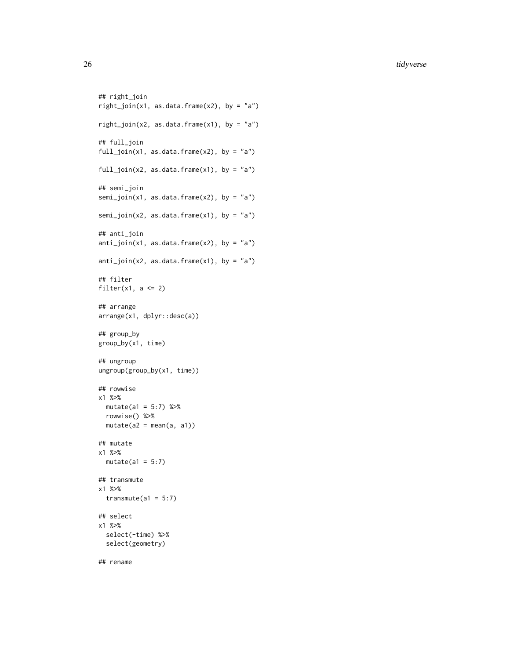```
## right_join
right\_join(x1, as.data-frame(x2), by = "a")right\_join(x2, as.data-frame(x1), by = "a")## full_join
full\_join(x1, as.data-frame(x2), by = "a")full_join(x2, as.data.frame(x1), by = "a")
## semi_join
semi_join(x1, as.data.frame(x2), by = "a")
semi_join(x2, as.data.frame(x1), by = "a")
## anti_join
anti\_join(x1, as.data-frame(x2), by = "a")anti\_join(x2, as.data-frame(x1), by = "a")## filter
filter(x1, a \leq 2)
## arrange
arrange(x1, dplyr::desc(a))
## group_by
group_by(x1, time)
## ungroup
ungroup(group_by(x1, time))
## rowwise
x1 %>%
 mutate(a1 = 5:7) %rowwise() %>%
 mutate(a2 = mean(a, a1))## mutate
x1 %>%
 mutate(a1 = 5:7)## transmute
x1 %>%
  transmute(a1 = 5:7)## select
x1 %>%
  select(-time) %>%
  select(geometry)
## rename
```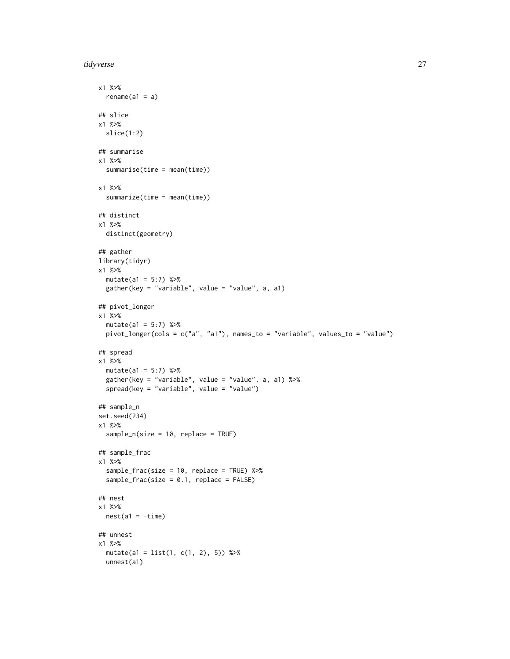```
x1 %>%
 rename(a1 = a)## slice
x1 %>%
 slice(1:2)
## summarise
x1 %>%
  summarise(time = mean(time))
x1 %>%
  summarize(time = mean(time))
## distinct
x1 %>%
  distinct(geometry)
## gather
library(tidyr)
x1 %>%
  mutate(a1 = 5:7) %>%
  gather(key = "variable", value = "value", a, a1)
## pivot_longer
x1 %>%
  mutate(a1 = 5:7) %>%
  pivot_longer(cols = c("a", "a1"), names_to = "variable", values_to = "value")
## spread
x1 %>%
 mutate(a1 = 5:7) %>%
  gather(key = "variable", value = "value", a, a1) %>%
  spread(key = "variable", value = "value")
## sample_n
set.seed(234)
x1 %>%
  sample_n(size = 10, replace = TRUE)
## sample_frac
x1 %>%
  sample_frac(size = 10, replace = TRUE) %>%
  sample_frac(size = 0.1, replace = FALSE)
## nest
x1 %>%
 nest(a1 = -time)## unnest
x1 %>%
  mutate(a1 = list(1, c(1, 2), 5)) %>%
  unnest(a1)
```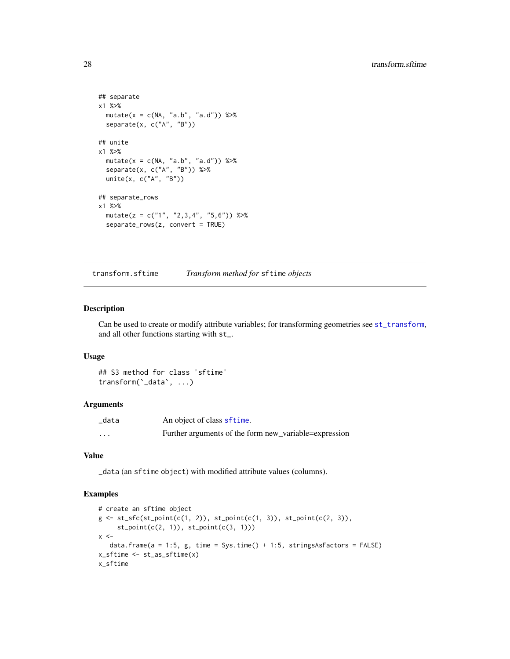```
## separate
x1 %>%
 mutate(x = c(NA, 'a.b'', 'a.d")) %>%
  separate(x, c("A", "B"))
## unite
x1 %>%
  mutate(x = c(NA, "a.b", "a.d")) %>%
  separate(x, c("A", "B")) %>%
  unite(x, c("A", "B"))
## separate_rows
x1 %>%
  mutate(z = c("1", "2,3,4", "5,6")) %>%
  separate_rows(z, convert = TRUE)
```
transform.sftime *Transform method for* sftime *objects*

#### Description

Can be used to create or modify attribute variables; for transforming geometries see [st\\_transform](#page-0-0), and all other functions starting with st\_.

#### Usage

## S3 method for class 'sftime' transform(`\_data`, ...)

#### Arguments

| _data    | An object of class sftime.                            |
|----------|-------------------------------------------------------|
| $\cdots$ | Further arguments of the form new_variable=expression |

#### Value

\_data (an sftime object) with modified attribute values (columns).

```
# create an sftime object
g \leftarrow st\_sfc(st\_point(c(1, 2)), st\_point(c(1, 3)), st\_point(c(2, 3)),st_point(c(2, 1)), st_point(c(3, 1)))
x < -data.frame(a = 1:5, g, time = Sys.time() + 1:5, stringsAsFactors = FALSE)
x_sftime <- st_as_sftime(x)
x_sftime
```
<span id="page-27-0"></span>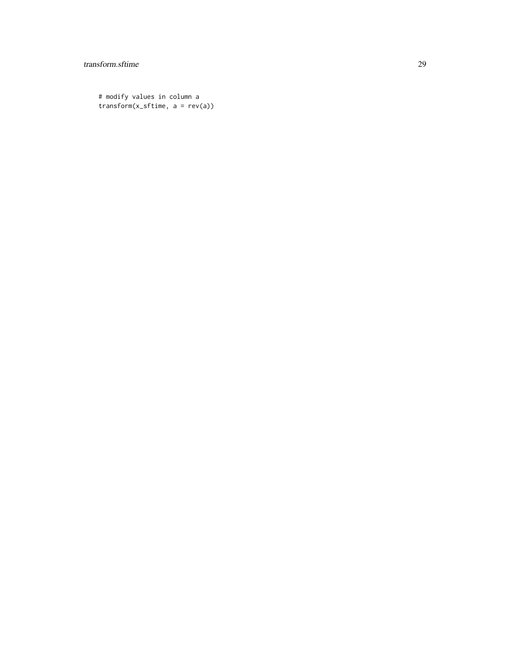# transform.sftime 29

# modify values in column a transform(x\_sftime, a = rev(a))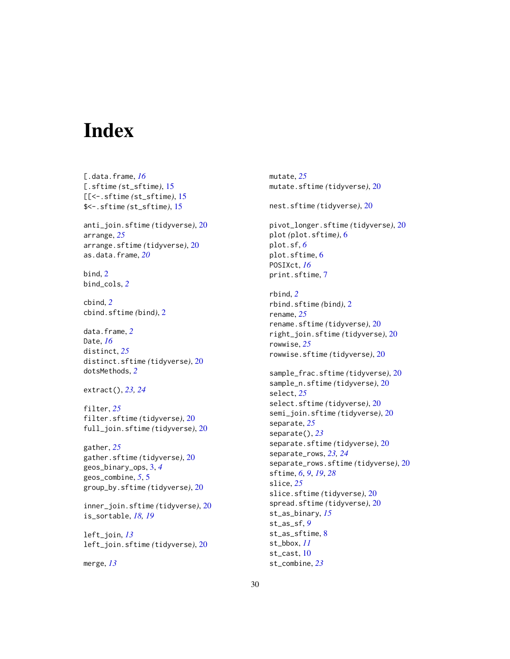# <span id="page-29-0"></span>Index

[.data.frame, *[16](#page-15-0)* [.sftime *(*st\_sftime*)*, [15](#page-14-0) [[<-.sftime *(*st\_sftime*)*, [15](#page-14-0) \$<-.sftime *(*st\_sftime*)*, [15](#page-14-0) anti\_join.sftime *(*tidyverse*)*, [20](#page-19-0) arrange, *[25](#page-24-0)* arrange.sftime *(*tidyverse*)*, [20](#page-19-0) as.data.frame, *[20](#page-19-0)* bind, [2](#page-1-0) bind\_cols, *[2](#page-1-0)* cbind, *[2](#page-1-0)* cbind.sftime *(*bind*)*, [2](#page-1-0) data.frame, *[2](#page-1-0)* Date, *[16](#page-15-0)* distinct, *[25](#page-24-0)* distinct.sftime *(*tidyverse*)*, [20](#page-19-0) dotsMethods, *[2](#page-1-0)* extract(), *[23,](#page-22-0) [24](#page-23-0)* filter, *[25](#page-24-0)* filter.sftime *(*tidyverse*)*, [20](#page-19-0) full\_join.sftime *(*tidyverse*)*, [20](#page-19-0) gather, *[25](#page-24-0)* gather.sftime *(*tidyverse*)*, [20](#page-19-0) geos\_binary\_ops, [3,](#page-2-0) *[4](#page-3-0)* geos\_combine, *[5](#page-4-0)*, [5](#page-4-0) group\_by.sftime *(*tidyverse*)*, [20](#page-19-0) inner\_join.sftime *(*tidyverse*)*, [20](#page-19-0) is\_sortable, *[18,](#page-17-0) [19](#page-18-0)* left\_join, *[13](#page-12-0)* left\_join.sftime *(*tidyverse*)*, [20](#page-19-0)

merge, *[13](#page-12-0)*

mutate, *[25](#page-24-0)* mutate.sftime *(*tidyverse*)*, [20](#page-19-0) nest.sftime *(*tidyverse*)*, [20](#page-19-0) pivot\_longer.sftime *(*tidyverse*)*, [20](#page-19-0) plot *(*plot.sftime*)*, [6](#page-5-0) plot.sf, *[6](#page-5-0)* plot.sftime, [6](#page-5-0) POSIXct, *[16](#page-15-0)* print.sftime, [7](#page-6-0) rbind, *[2](#page-1-0)* rbind.sftime *(*bind*)*, [2](#page-1-0) rename, *[25](#page-24-0)* rename.sftime *(*tidyverse*)*, [20](#page-19-0) right\_join.sftime *(*tidyverse*)*, [20](#page-19-0) rowwise, *[25](#page-24-0)* rowwise.sftime *(*tidyverse*)*, [20](#page-19-0) sample\_frac.sftime *(*tidyverse*)*, [20](#page-19-0) sample\_n.sftime *(*tidyverse*)*, [20](#page-19-0) select, *[25](#page-24-0)* select.sftime *(*tidyverse*)*, [20](#page-19-0) semi\_join.sftime *(*tidyverse*)*, [20](#page-19-0) separate, *[25](#page-24-0)* separate(), *[23](#page-22-0)* separate.sftime *(*tidyverse*)*, [20](#page-19-0) separate\_rows, *[23,](#page-22-0) [24](#page-23-0)* separate\_rows.sftime *(*tidyverse*)*, [20](#page-19-0) sftime, *[6](#page-5-0)*, *[9](#page-8-0)*, *[19](#page-18-0)*, *[28](#page-27-0)* slice, *[25](#page-24-0)* slice.sftime *(*tidyverse*)*, [20](#page-19-0) spread.sftime *(*tidyverse*)*, [20](#page-19-0) st\_as\_binary, *[15](#page-14-0)* st\_as\_sf, *[9](#page-8-0)* st\_as\_sftime, [8](#page-7-0) st\_bbox, *[11](#page-10-0)* st\_cast, [10](#page-9-0) st\_combine, *[23](#page-22-0)*